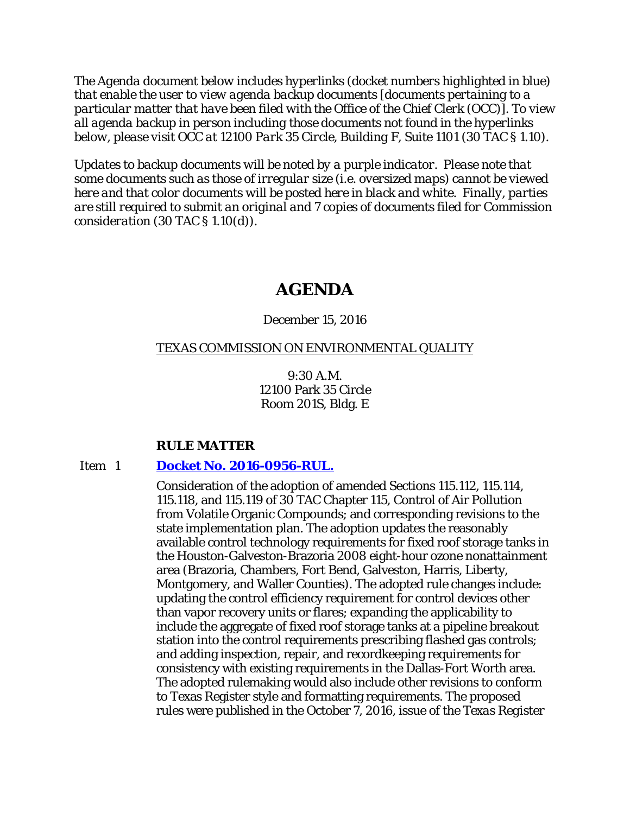*The Agenda document below includes hyperlinks (docket numbers highlighted in blue) that enable the user to view agenda backup documents [documents pertaining to a particular matter that have been filed with the Office of the Chief Clerk (OCC)]. To view all agenda backup in person including those documents not found in the hyperlinks below, please visit OCC at 12100 Park 35 Circle, Building F, Suite 1101 (30 TAC § 1.10).*

*Updates to backup documents will be noted by a purple indicator. Please note that some documents such as those of irregular size (i.e. oversized maps) cannot be viewed here and that color documents will be posted here in black and white. Finally, parties are still required to submit an original and 7 copies of documents filed for Commission consideration (30 TAC § 1.10(d)).*

# **AGENDA**

# December 15, 2016

# TEXAS COMMISSION ON ENVIRONMENTAL QUALITY

9:30 A.M. 12100 Park 35 Circle Room 201S, Bldg. E

# **RULE MATTER**

# Item 1 **[Docket No. 2016-0956-RUL.](http://www.tceq.texas.gov/assets/public/comm_exec/agendas/comm/backup/Agendas/2016/12-15-2016/0956RUL.pdf)**

Consideration of the adoption of amended Sections 115.112, 115.114, 115.118, and 115.119 of 30 TAC Chapter 115, Control of Air Pollution from Volatile Organic Compounds; and corresponding revisions to the state implementation plan. The adoption updates the reasonably available control technology requirements for fixed roof storage tanks in the Houston-Galveston-Brazoria 2008 eight-hour ozone nonattainment area (Brazoria, Chambers, Fort Bend, Galveston, Harris, Liberty, Montgomery, and Waller Counties). The adopted rule changes include: updating the control efficiency requirement for control devices other than vapor recovery units or flares; expanding the applicability to include the aggregate of fixed roof storage tanks at a pipeline breakout station into the control requirements prescribing flashed gas controls; and adding inspection, repair, and recordkeeping requirements for consistency with existing requirements in the Dallas-Fort Worth area. The adopted rulemaking would also include other revisions to conform to Texas Register style and formatting requirements. The proposed rules were published in the October 7, 2016, issue of the *Texas Register*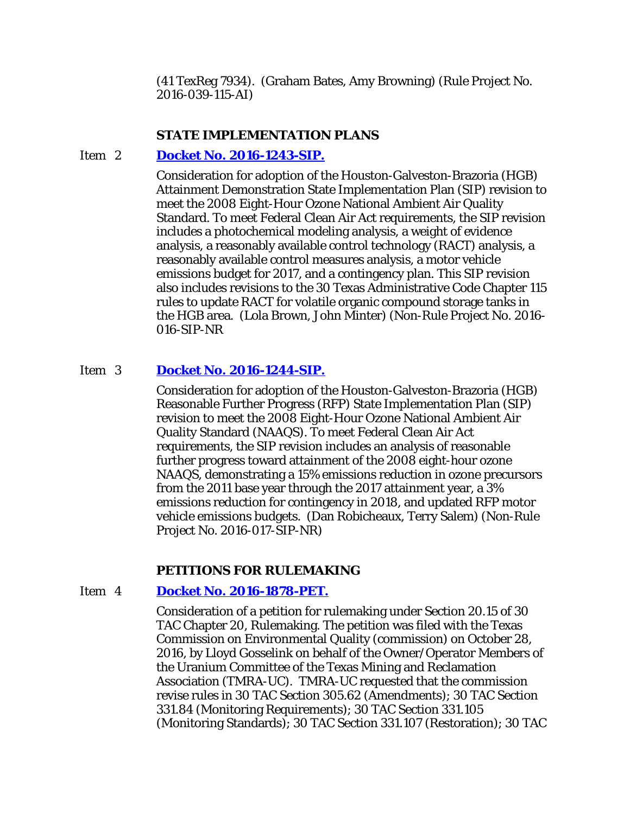(41 TexReg 7934). (Graham Bates, Amy Browning) (Rule Project No. 2016-039-115-AI)

# **STATE IMPLEMENTATION PLANS**

# Item 2 **[Docket No. 2016-1243-SIP.](http://www.tceq.texas.gov/assets/public/comm_exec/agendas/comm/backup/Agendas/2016/12-15-2016/1243SIP.pdf)**

Consideration for adoption of the Houston-Galveston-Brazoria (HGB) Attainment Demonstration State Implementation Plan (SIP) revision to meet the 2008 Eight-Hour Ozone National Ambient Air Quality Standard. To meet Federal Clean Air Act requirements, the SIP revision includes a photochemical modeling analysis, a weight of evidence analysis, a reasonably available control technology (RACT) analysis, a reasonably available control measures analysis, a motor vehicle emissions budget for 2017, and a contingency plan. This SIP revision also includes revisions to the 30 Texas Administrative Code Chapter 115 rules to update RACT for volatile organic compound storage tanks in the HGB area. (Lola Brown, John Minter) (Non-Rule Project No. 2016- 016-SIP-NR

# Item 3 **[Docket No. 2016-1244-SIP.](http://www.tceq.texas.gov/assets/public/comm_exec/agendas/comm/backup/Agendas/2016/12-15-2016/1244SIP.pdf)**

Consideration for adoption of the Houston-Galveston-Brazoria (HGB) Reasonable Further Progress (RFP) State Implementation Plan (SIP) revision to meet the 2008 Eight-Hour Ozone National Ambient Air Quality Standard (NAAQS). To meet Federal Clean Air Act requirements, the SIP revision includes an analysis of reasonable further progress toward attainment of the 2008 eight-hour ozone NAAQS, demonstrating a 15% emissions reduction in ozone precursors from the 2011 base year through the 2017 attainment year, a 3% emissions reduction for contingency in 2018, and updated RFP motor vehicle emissions budgets. (Dan Robicheaux, Terry Salem) (Non-Rule Project No. 2016-017-SIP-NR)

#### **PETITIONS FOR RULEMAKING**

# Item 4 **[Docket No. 2016-1878-PET.](http://www.tceq.texas.gov/assets/public/comm_exec/agendas/comm/backup/Agendas/2016/12-15-2016/1878PET.pdf)**

Consideration of a petition for rulemaking under Section 20.15 of 30 TAC Chapter 20, Rulemaking. The petition was filed with the Texas Commission on Environmental Quality (commission) on October 28, 2016, by Lloyd Gosselink on behalf of the Owner/Operator Members of the Uranium Committee of the Texas Mining and Reclamation Association (TMRA-UC). TMRA-UC requested that the commission revise rules in 30 TAC Section 305.62 (Amendments); 30 TAC Section 331.84 (Monitoring Requirements); 30 TAC Section 331.105 (Monitoring Standards); 30 TAC Section 331.107 (Restoration); 30 TAC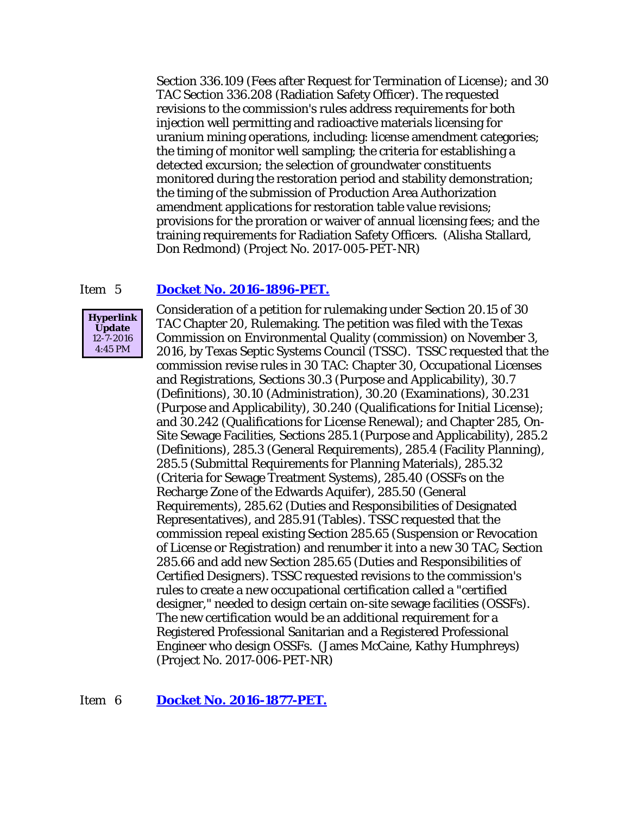Section 336.109 (Fees after Request for Termination of License); and 30 TAC Section 336.208 (Radiation Safety Officer). The requested revisions to the commission's rules address requirements for both injection well permitting and radioactive materials licensing for uranium mining operations, including: license amendment categories; the timing of monitor well sampling; the criteria for establishing a detected excursion; the selection of groundwater constituents monitored during the restoration period and stability demonstration; the timing of the submission of Production Area Authorization amendment applications for restoration table value revisions; provisions for the proration or waiver of annual licensing fees; and the training requirements for Radiation Safety Officers. (Alisha Stallard, Don Redmond) (Project No. 2017-005-PET-NR)

# Item 5 **[Docket No. 2016-1896-PET.](http://www.tceq.texas.gov/assets/public/comm_exec/agendas/comm/backup/Agendas/2016/12-15-2016/1896PET.pdf)**



Consideration of a petition for rulemaking under Section 20.15 of 30 TAC Chapter 20, Rulemaking. The petition was filed with the Texas Commission on Environmental Quality (commission) on November 3, 2016, by Texas Septic Systems Council (TSSC). TSSC requested that the commission revise rules in 30 TAC: Chapter 30, Occupational Licenses and Registrations, Sections 30.3 (Purpose and Applicability), 30.7 (Definitions), 30.10 (Administration), 30.20 (Examinations), 30.231 (Purpose and Applicability), 30.240 (Qualifications for Initial License); and 30.242 (Qualifications for License Renewal); and Chapter 285, On-Site Sewage Facilities, Sections 285.1 (Purpose and Applicability), 285.2 (Definitions), 285.3 (General Requirements), 285.4 (Facility Planning), 285.5 (Submittal Requirements for Planning Materials), 285.32 (Criteria for Sewage Treatment Systems), 285.40 (OSSFs on the Recharge Zone of the Edwards Aquifer), 285.50 (General Requirements), 285.62 (Duties and Responsibilities of Designated Representatives), and 285.91 (Tables). TSSC requested that the commission repeal existing Section 285.65 (Suspension or Revocation of License or Registration) and renumber it into a new 30 TAC, Section 285.66 and add new Section 285.65 (Duties and Responsibilities of Certified Designers). TSSC requested revisions to the commission's rules to create a new occupational certification called a "certified designer," needed to design certain on-site sewage facilities (OSSFs). The new certification would be an additional requirement for a Registered Professional Sanitarian and a Registered Professional Engineer who design OSSFs. (James McCaine, Kathy Humphreys) (Project No. 2017-006-PET-NR)

# Item 6 **[Docket No. 2016-1877-PET.](http://www.tceq.texas.gov/assets/public/comm_exec/agendas/comm/backup/Agendas/2016/12-15-2016/1877PET.pdf)**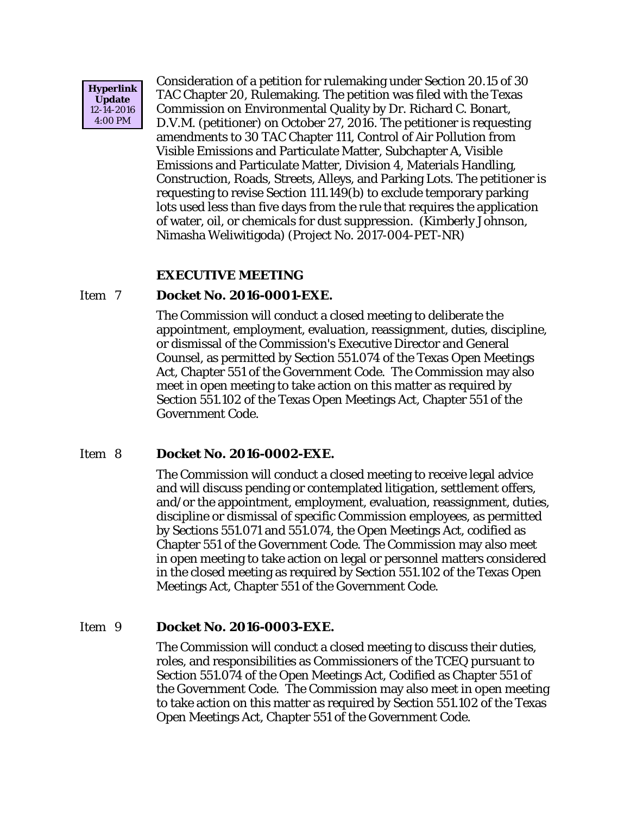

Consideration of a petition for rulemaking under Section 20.15 of 30 TAC Chapter 20, Rulemaking. The petition was filed with the Texas Commission on Environmental Quality by Dr. Richard C. Bonart, D.V.M. (petitioner) on October 27, 2016. The petitioner is requesting amendments to 30 TAC Chapter 111, Control of Air Pollution from Visible Emissions and Particulate Matter, Subchapter A, Visible Emissions and Particulate Matter, Division 4, Materials Handling, Construction, Roads, Streets, Alleys, and Parking Lots. The petitioner is requesting to revise Section 111.149(b) to exclude temporary parking lots used less than five days from the rule that requires the application of water, oil, or chemicals for dust suppression. (Kimberly Johnson, Nimasha Weliwitigoda) (Project No. 2017-004-PET-NR)

# **EXECUTIVE MEETING**

# Item 7 **Docket No. 2016-0001-EXE.**

The Commission will conduct a closed meeting to deliberate the appointment, employment, evaluation, reassignment, duties, discipline, or dismissal of the Commission's Executive Director and General Counsel, as permitted by Section 551.074 of the Texas Open Meetings Act, Chapter 551 of the Government Code. The Commission may also meet in open meeting to take action on this matter as required by Section 551.102 of the Texas Open Meetings Act, Chapter 551 of the Government Code.

# Item 8 **Docket No. 2016-0002-EXE.**

The Commission will conduct a closed meeting to receive legal advice and will discuss pending or contemplated litigation, settlement offers, and/or the appointment, employment, evaluation, reassignment, duties, discipline or dismissal of specific Commission employees, as permitted by Sections 551.071 and 551.074, the Open Meetings Act, codified as Chapter 551 of the Government Code. The Commission may also meet in open meeting to take action on legal or personnel matters considered in the closed meeting as required by Section 551.102 of the Texas Open Meetings Act, Chapter 551 of the Government Code.

## Item 9 **Docket No. 2016-0003-EXE.**

The Commission will conduct a closed meeting to discuss their duties, roles, and responsibilities as Commissioners of the TCEQ pursuant to Section 551.074 of the Open Meetings Act, Codified as Chapter 551 of the Government Code. The Commission may also meet in open meeting to take action on this matter as required by Section 551.102 of the Texas Open Meetings Act, Chapter 551 of the Government Code.